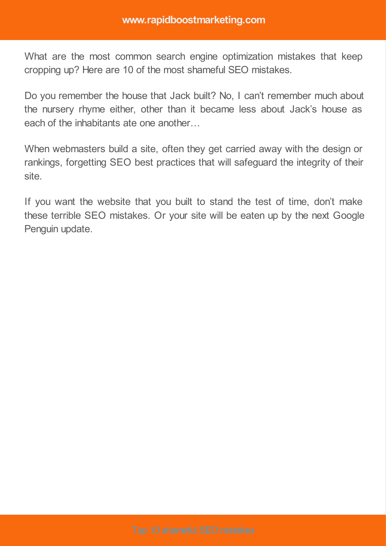What are the most common search engine optimization mistakes that keep cropping up? Here are 10 of the most shameful SEO mistakes.

Do you remember the house that Jack built? No, I can't remember much about the nursery rhyme either, other than it became less about Jack's house as each of the inhabitants ate one another…

When webmasters build a site, often they get carried away with the design or rankings, forgetting SEO best practices that will safeguard the integrity of their site.

If you want the website that you built to stand the test of time, don't make these terrible SEO mistakes. Or your site will be eaten up by the next Google Penguin update.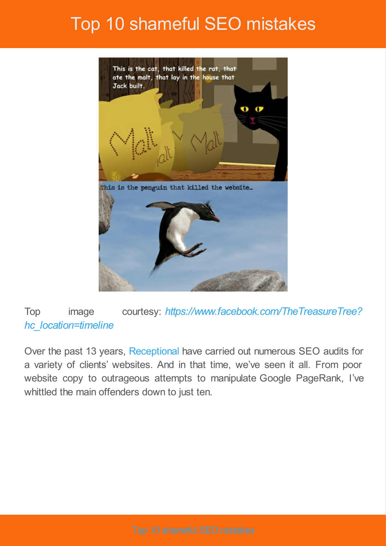

#### Top image courtesy: *[https://www.facebook.com/TheTreasureTree?](https://www.facebook.com/TheTreasureTree?hc_location=timeline) hc\_location=timeline*

Over the past 13 years, [Receptional](http://www.receptional.com/) have carried out numerous SEO audits for a variety of clients' websites. And in that time, we've seen it all. From poor website copy to outrageous attempts to manipulate Google PageRank, I've whittled the main offenders down to just ten.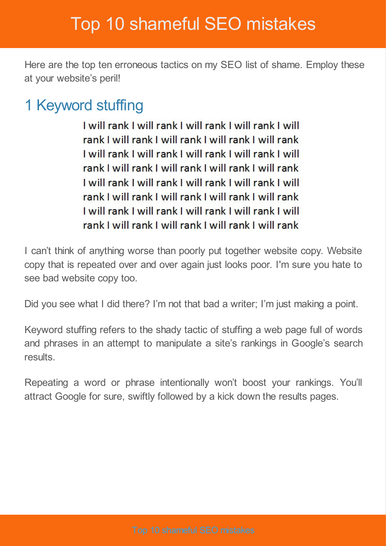Here are the top ten erroneous tactics on my SEO list of shame. Employ these at your website's peril!

### 1 Keyword stuffing

I will rank I will rank I will rank I will rank I will rank I will rank I will rank I will rank I will rank I will rank I will rank I will rank I will rank I will rank I will rank I will rank I will rank I will rank Lwill rank Lwill rank Lwill rank Lwill rank Lwill rank I will rank I will rank I will rank I will rank I will rank I will rank I will rank I will rank I will rank I will rank I will rank I will rank I will rank

I can't think of anything worse than poorly put together website copy. Website copy that is repeated over and over again just looks poor. I'm sure you hate to see bad website copy too.

Did you see what I did there? I'm not that bad a writer; I'm just making a point.

Keyword stuffing refers to the shady tactic of stuffing a web page full of words and phrases in an attempt to manipulate a site's rankings in Google's search results.

Repeating a word or phrase intentionally won't boost your rankings. You'll attract Google for sure, swiftly followed by a kick down the results pages.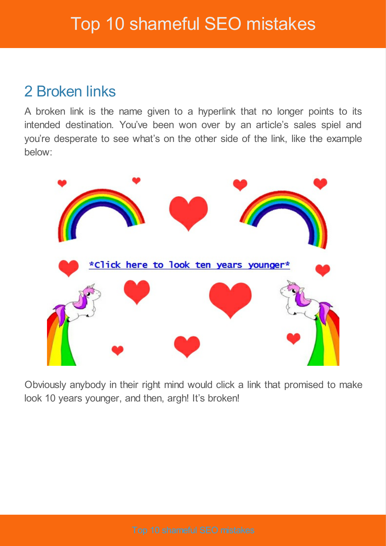#### 2 Broken links

A broken link is the name given to a hyperlink that no longer points to its intended destination. You've been won over by an article's sales spiel and you're desperate to see what's on the other side of the link, like the example below:



Obviously anybody in their right mind would click a link that promised to make look 10 years younger, and then, argh! It's broken!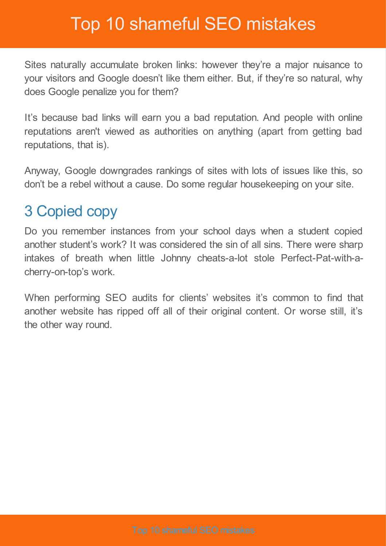Sites naturally accumulate broken links: however they're a major nuisance to your visitors and Google doesn't like them either. But, if they're so natural, why does Google penalize you for them?

It's because bad links will earn you a bad reputation. And people with online reputations aren't viewed as authorities on anything (apart from getting bad reputations, that is).

Anyway, Google downgrades rankings of sites with lots of issues like this, so don't be a rebel without a cause. Do some regular housekeeping on your site.

#### 3 Copied copy

Do you remember instances from your school days when a student copied another student's work? It was considered the sin of all sins. There were sharp intakes of breath when little Johnny cheats-a-lot stole Perfect-Pat-with-acherry-on-top's work.

When performing SEO audits for clients' websites it's common to find that another website has ripped off all of their original content. Or worse still, it's the other way round.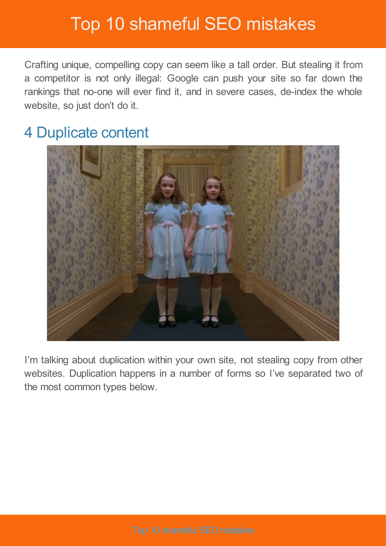Crafting unique, compelling copy can seem like a tall order. But stealing it from a competitor is not only illegal: Google can push your site so far down the rankings that no-one will ever find it, and in severe cases, de-index the whole website, so just don't do it.

#### 4 Duplicate content



I'm talking about duplication within your own site, not stealing copy from other websites. Duplication happens in a number of forms so I've separated two of the most common types below.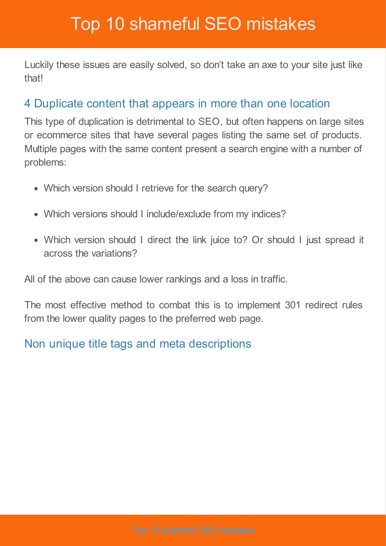Luckily these issues are easily solved, so don't take an axe to your site just like that!

#### 4 Duplicate content that appears in more than one location

This type of duplication is detrimental to SEO, but often happens on large sites or ecommerce sites that have several pages listing the same set of products. Multiple pages with the same content present a search engine with a number of problems:

- Which version should I retrieve for the search query?
- Which versions should I include/exclude from my indices?
- Which version should I direct the link juice to? Or should I just spread it across the variations?

All of the above can cause lower rankings and a loss in traffic.

The most effective method to combat this is to implement 301 redirect rules from the lower quality pages to the preferred web page.

#### Non unique title tags and meta descriptions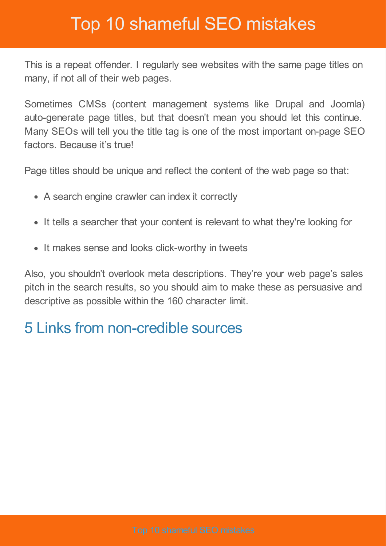This is a repeat offender. I regularly see websites with the same page titles on many, if not all of their web pages.

Sometimes CMSs (content management systems like Drupal and Joomla) auto-generate page titles, but that doesn't mean you should let this continue. Many SEOs will tell you the title tag is one of the most important on-page SEO factors. Because it's true!

Page titles should be unique and reflect the content of the web page so that:

- A search engine crawler can index it correctly
- It tells a searcher that your content is relevant to what they're looking for
- It makes sense and looks click-worthy in tweets

Also, you shouldn't overlook meta descriptions. They're your web page's sales pitch in the search results, so you should aim to make these as persuasive and descriptive as possible within the 160 character limit.

### 5 Links from non-credible sources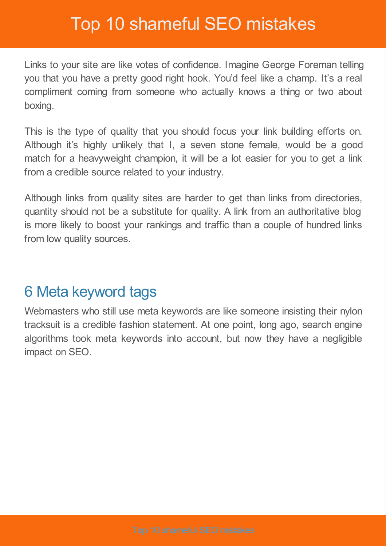Links to your site are like votes of confidence. Imagine George Foreman telling you that you have a pretty good right hook. You'd feel like a champ. It's a real compliment coming from someone who actually knows a thing or two about boxing.

This is the type of quality that you should focus your link building efforts on. Although it's highly unlikely that I, a seven stone female, would be a good match for a heavyweight champion, it will be a lot easier for you to get a link from a credible source related to your industry.

Although links from quality sites are harder to get than links from directories, quantity should not be a substitute for quality. A link from an authoritative blog is more likely to boost your rankings and traffic than a couple of hundred links from low quality sources.

#### 6 Meta keyword tags

Webmasters who still use meta keywords are like someone insisting their nylon tracksuit is a credible fashion statement. At one point, long ago, search engine algorithms took meta keywords into account, but now they have a negligible impact on SEO.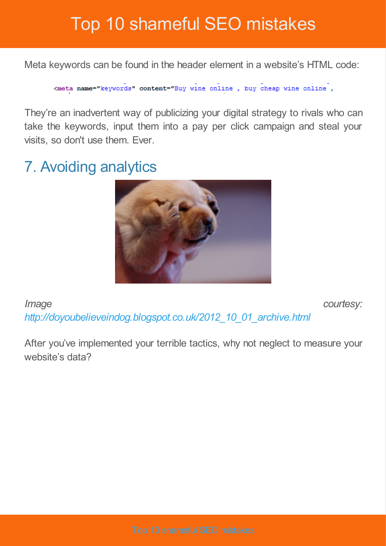Meta keywords can be found in the header element in a website's HTML code:

<meta name="keywords" content="Buy wine online, buy cheap wine online,

They're an inadvertent way of publicizing your digital strategy to rivals who can take the keywords, input them into a pay per click campaign and steal your visits, so don't use them. Ever.

### 7. Avoiding analytics



*Image courtesy: [http://doyoubelieveindog.blogspot.co.uk/2012\\_10\\_01\\_archive.html](http://doyoubelieveindog.blogspot.co.uk/2012_10_01_archive.html)*

After you've implemented your terrible tactics, why not neglect to measure your website's data?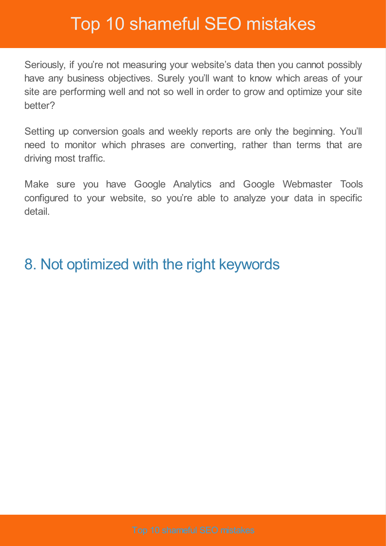Seriously, if you're not measuring your website's data then you cannot possibly have any business objectives. Surely you'll want to know which areas of your site are performing well and not so well in order to grow and optimize your site better?

Setting up conversion goals and weekly reports are only the beginning. You'll need to monitor which phrases are converting, rather than terms that are driving most traffic.

Make sure you have Google Analytics and Google Webmaster Tools configured to your website, so you're able to analyze your data in specific detail.

#### 8. Not optimized with the right keywords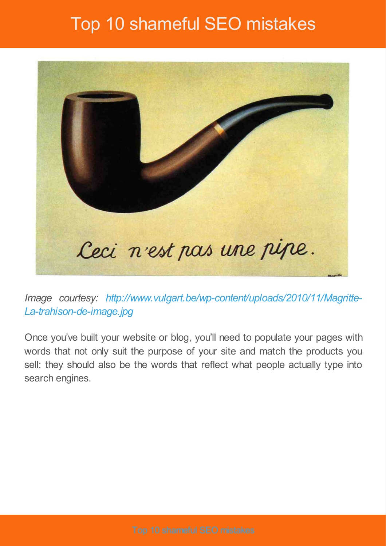

*Image courtesy: [http://www.vulgart.be/wp-content/uploads/2010/11/Magritte-](http://www.vulgart.be/wp-content/uploads/2010/11/Magritte-La-trahison-de-image.jpg)La-trahison-de-image.jpg*

Once you've built your website or blog, you'll need to populate your pages with words that not only suit the purpose of your site and match the products you sell: they should also be the words that reflect what people actually type into search engines.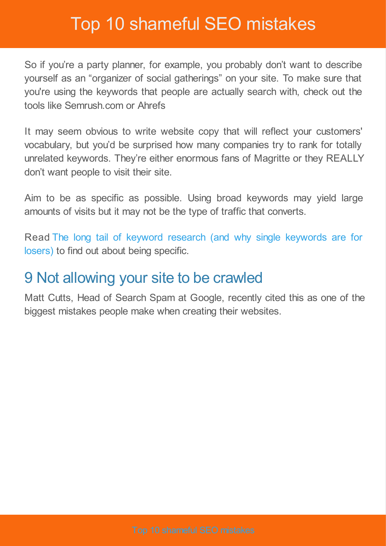So if you're a party planner, for example, you probably don't want to describe yourself as an "organizer of social gatherings" on your site. To make sure that you're using the keywords that people are actually search with, check out the tools like Semrush.com or Ahrefs

It may seem obvious to write website copy that will reflect your customers' vocabulary, but you'd be surprised how many companies try to rank for totally unrelated keywords. They're either enormous fans of Magritte or they REALLY don't want people to visit their site.

Aim to be as specific as possible. Using broad keywords may yield large amounts of visits but it may not be the type of traffic that converts.

Read The long tail of keyword research (and why single [keywords](http://www.wordtracker.com/academy/long-tail-keyword-research) are for losers) to find out about being specific.

#### 9 Not allowing your site to be crawled

Matt Cutts, Head of Search Spam at Google, recently cited this as one of the biggest mistakes people make when creating their websites.